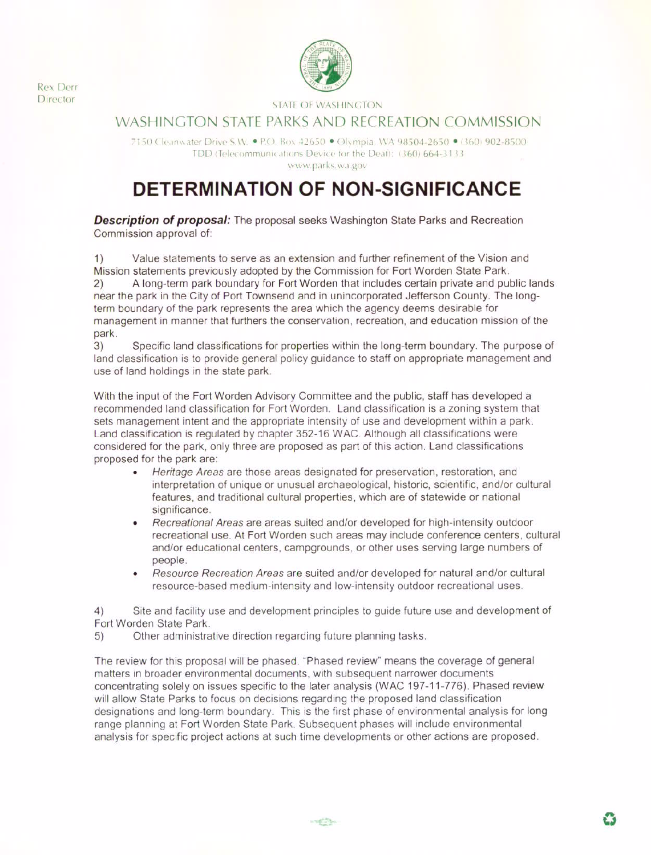**Rex Derr Director** 



## **STATE OF WASHINGTON**

# WASHINGTON STATE PARKS AND RECREATION COMMISSION

7150 Cleanwater Drive S.W. . P.O. Box 42650 . Olympia, WA 98504-2650 . (360) 902-8500 TDD (Telecommunications Device for the Deaf): (360) 664-3133. www.parks.wa.gov

# **DETERMINATION OF NON-SIGNIFICANCE**

**Description of proposal:** The proposal seeks Washington State Parks and Recreation Commission approval of:

Value statements to serve as an extension and further refinement of the Vision and  $1)$ Mission statements previously adopted by the Commission for Fort Worden State Park. A long-term park boundary for Fort Worden that includes certain private and public lands  $(2)$ near the park in the City of Port Townsend and in unincorporated Jefferson County. The longterm boundary of the park represents the area which the agency deems desirable for management in manner that furthers the conservation, recreation, and education mission of the park.

 $3)$ Specific land classifications for properties within the long-term boundary. The purpose of land classification is to provide general policy guidance to staff on appropriate management and use of land holdings in the state park.

With the input of the Fort Worden Advisory Committee and the public, staff has developed a recommended land classification for Fort Worden. Land classification is a zoning system that sets management intent and the appropriate intensity of use and development within a park. Land classification is regulated by chapter 352-16 WAC. Although all classifications were considered for the park, only three are proposed as part of this action. Land classifications proposed for the park are:

- Heritage Areas are those areas designated for preservation, restoration, and  $\bullet$ interpretation of unique or unusual archaeological, historic, scientific, and/or cultural features, and traditional cultural properties, which are of statewide or national significance.
- Recreational Areas are areas suited and/or developed for high-intensity outdoor ٠ recreational use. At Fort Worden such areas may include conference centers, cultural and/or educational centers, campgrounds, or other uses serving large numbers of people.
- Resource Recreation Areas are suited and/or developed for natural and/or cultural resource-based medium-intensity and low-intensity outdoor recreational uses.

Site and facility use and development principles to quide future use and development of  $4)$ Fort Worden State Park.

Other administrative direction regarding future planning tasks.  $5)$ 

The review for this proposal will be phased. "Phased review" means the coverage of general matters in broader environmental documents, with subsequent narrower documents concentrating solely on issues specific to the later analysis (WAC 197-11-776). Phased review will allow State Parks to focus on decisions regarding the proposed land classification designations and long-term boundary. This is the first phase of environmental analysis for long range planning at Fort Worden State Park. Subsequent phases will include environmental analysis for specific project actions at such time developments or other actions are proposed.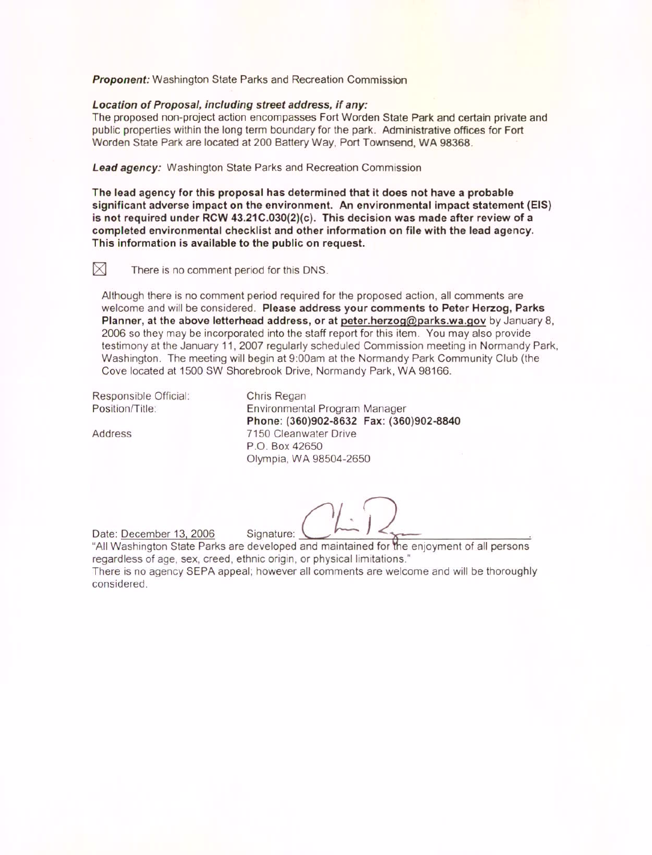**Proponent:** Washington State Parks and Recreation Commission

#### Location of Proposal, including street address, if any:

The proposed non-project action encompasses Fort Worden State Park and certain private and public properties within the long term boundary for the park. Administrative offices for Fort Worden State Park are located at 200 Battery Way, Port Townsend, WA 98368.

Lead agency: Washington State Parks and Recreation Commission

The lead agency for this proposal has determined that it does not have a probable significant adverse impact on the environment. An environmental impact statement (EIS) is not required under RCW 43.21C.030(2)(c). This decision was made after review of a completed environmental checklist and other information on file with the lead agency. This information is available to the public on request.

 $\boxtimes$ 

There is no comment period for this DNS.

Although there is no comment period required for the proposed action, all comments are welcome and will be considered. Please address your comments to Peter Herzog, Parks Planner, at the above letterhead address, or at peter.herzog@parks.wa.gov by January 8, 2006 so they may be incorporated into the staff report for this item. You may also provide testimony at the January 11, 2007 regularly scheduled Commission meeting in Normandy Park, Washington. The meeting will begin at 9:00am at the Normandy Park Community Club (the Cove located at 1500 SW Shorebrook Drive, Normandy Park, WA 98166.

Responsible Official: Position/Title:

Address

considered.

Chris Regan Environmental Program Manager Phone: (360)902-8632 Fax: (360)902-8840 7150 Cleanwater Drive P.O. Box 42650 Olympia, WA 98504-2650

Date: December 13, 2006 Signature: "All Washington State Parks are developed and maintained for the enjoyment of all persons regardless of age, sex, creed, ethnic origin, or physical limitations." There is no agency SEPA appeal; however all comments are welcome and will be thoroughly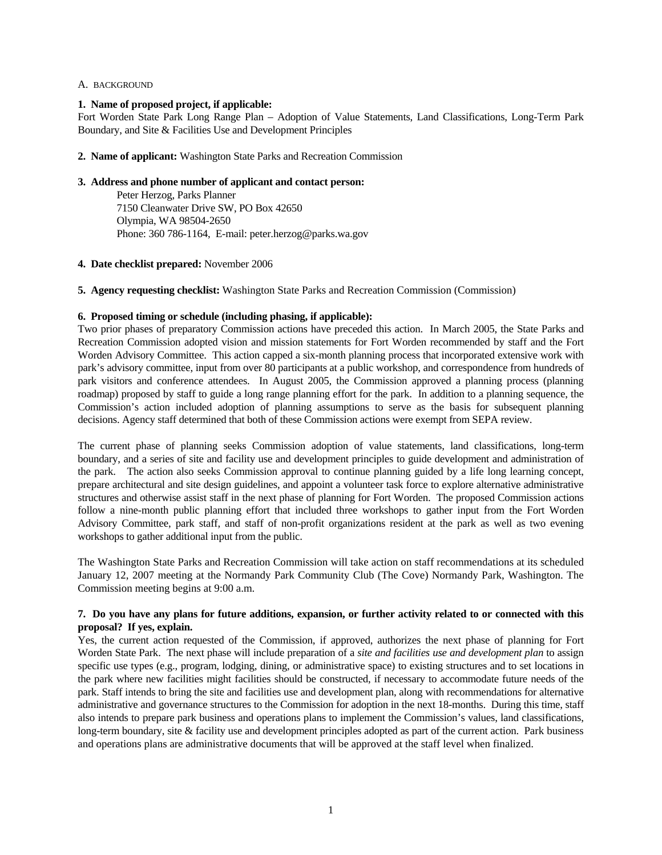#### A. BACKGROUND

#### **1. Name of proposed project, if applicable:**

Fort Worden State Park Long Range Plan – Adoption of Value Statements, Land Classifications, Long-Term Park Boundary, and Site & Facilities Use and Development Principles

#### **2. Name of applicant:** Washington State Parks and Recreation Commission

#### **3. Address and phone number of applicant and contact person:**

 Peter Herzog, Parks Planner 7150 Cleanwater Drive SW, PO Box 42650 Olympia, WA 98504-2650 Phone: 360 786-1164, E-mail: peter.herzog@parks.wa.gov

#### **4. Date checklist prepared:** November 2006

**5. Agency requesting checklist:** Washington State Parks and Recreation Commission (Commission)

#### **6. Proposed timing or schedule (including phasing, if applicable):**

Two prior phases of preparatory Commission actions have preceded this action. In March 2005, the State Parks and Recreation Commission adopted vision and mission statements for Fort Worden recommended by staff and the Fort Worden Advisory Committee. This action capped a six-month planning process that incorporated extensive work with park's advisory committee, input from over 80 participants at a public workshop, and correspondence from hundreds of park visitors and conference attendees. In August 2005, the Commission approved a planning process (planning roadmap) proposed by staff to guide a long range planning effort for the park. In addition to a planning sequence, the Commission's action included adoption of planning assumptions to serve as the basis for subsequent planning decisions. Agency staff determined that both of these Commission actions were exempt from SEPA review.

The current phase of planning seeks Commission adoption of value statements, land classifications, long-term boundary, and a series of site and facility use and development principles to guide development and administration of the park. The action also seeks Commission approval to continue planning guided by a life long learning concept, prepare architectural and site design guidelines, and appoint a volunteer task force to explore alternative administrative structures and otherwise assist staff in the next phase of planning for Fort Worden. The proposed Commission actions follow a nine-month public planning effort that included three workshops to gather input from the Fort Worden Advisory Committee, park staff, and staff of non-profit organizations resident at the park as well as two evening workshops to gather additional input from the public.

The Washington State Parks and Recreation Commission will take action on staff recommendations at its scheduled January 12, 2007 meeting at the Normandy Park Community Club (The Cove) Normandy Park, Washington. The Commission meeting begins at 9:00 a.m.

## **7. Do you have any plans for future additions, expansion, or further activity related to or connected with this proposal? If yes, explain.**

Yes, the current action requested of the Commission, if approved, authorizes the next phase of planning for Fort Worden State Park. The next phase will include preparation of a *site and facilities use and development plan* to assign specific use types (e.g., program, lodging, dining, or administrative space) to existing structures and to set locations in the park where new facilities might facilities should be constructed, if necessary to accommodate future needs of the park. Staff intends to bring the site and facilities use and development plan, along with recommendations for alternative administrative and governance structures to the Commission for adoption in the next 18-months. During this time, staff also intends to prepare park business and operations plans to implement the Commission's values, land classifications, long-term boundary, site & facility use and development principles adopted as part of the current action. Park business and operations plans are administrative documents that will be approved at the staff level when finalized.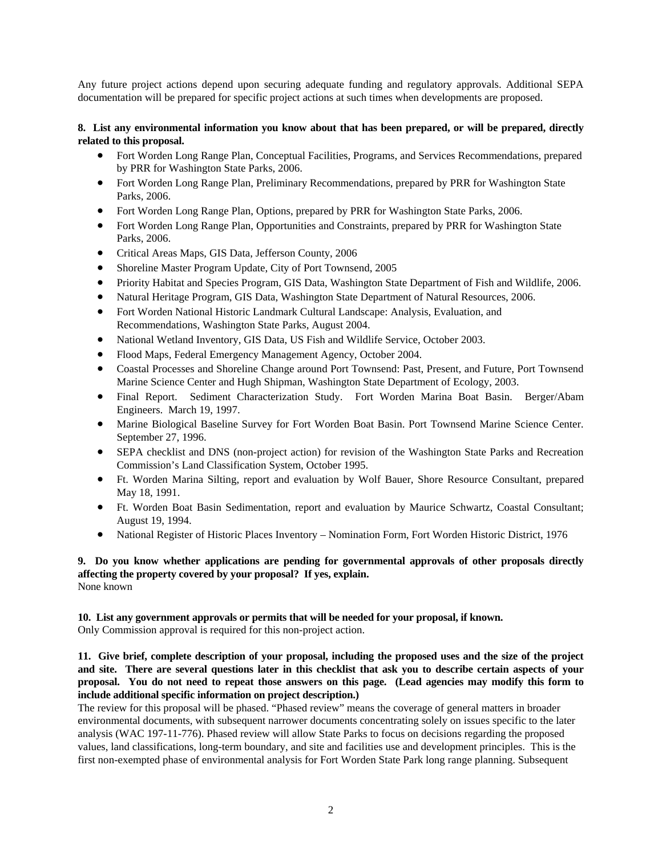Any future project actions depend upon securing adequate funding and regulatory approvals. Additional SEPA documentation will be prepared for specific project actions at such times when developments are proposed.

## **8. List any environmental information you know about that has been prepared, or will be prepared, directly related to this proposal.**

- Fort Worden Long Range Plan, Conceptual Facilities, Programs, and Services Recommendations, prepared by PRR for Washington State Parks, 2006.
- Fort Worden Long Range Plan, Preliminary Recommendations, prepared by PRR for Washington State Parks, 2006.
- Fort Worden Long Range Plan, Options, prepared by PRR for Washington State Parks, 2006.
- Fort Worden Long Range Plan, Opportunities and Constraints, prepared by PRR for Washington State Parks, 2006.
- Critical Areas Maps, GIS Data, Jefferson County, 2006
- Shoreline Master Program Update, City of Port Townsend, 2005
- Priority Habitat and Species Program, GIS Data, Washington State Department of Fish and Wildlife, 2006.
- Natural Heritage Program, GIS Data, Washington State Department of Natural Resources, 2006.
- Fort Worden National Historic Landmark Cultural Landscape: Analysis, Evaluation, and Recommendations, Washington State Parks, August 2004.
- National Wetland Inventory, GIS Data, US Fish and Wildlife Service, October 2003.
- Flood Maps, Federal Emergency Management Agency, October 2004.
- Coastal Processes and Shoreline Change around Port Townsend: Past, Present, and Future, Port Townsend Marine Science Center and Hugh Shipman, Washington State Department of Ecology, 2003.
- Final Report. Sediment Characterization Study. Fort Worden Marina Boat Basin. Berger/Abam Engineers. March 19, 1997.
- Marine Biological Baseline Survey for Fort Worden Boat Basin. Port Townsend Marine Science Center. September 27, 1996.
- SEPA checklist and DNS (non-project action) for revision of the Washington State Parks and Recreation Commission's Land Classification System, October 1995.
- Ft. Worden Marina Silting, report and evaluation by Wolf Bauer, Shore Resource Consultant, prepared May 18, 1991.
- Ft. Worden Boat Basin Sedimentation, report and evaluation by Maurice Schwartz, Coastal Consultant; August 19, 1994.
- National Register of Historic Places Inventory Nomination Form, Fort Worden Historic District, 1976

## **9. Do you know whether applications are pending for governmental approvals of other proposals directly affecting the property covered by your proposal? If yes, explain.**  None known

## **10. List any government approvals or permits that will be needed for your proposal, if known.**  Only Commission approval is required for this non-project action.

## **11. Give brief, complete description of your proposal, including the proposed uses and the size of the project and site. There are several questions later in this checklist that ask you to describe certain aspects of your proposal. You do not need to repeat those answers on this page. (Lead agencies may modify this form to include additional specific information on project description.)**

The review for this proposal will be phased. "Phased review" means the coverage of general matters in broader environmental documents, with subsequent narrower documents concentrating solely on issues specific to the later analysis (WAC 197-11-776). Phased review will allow State Parks to focus on decisions regarding the proposed values, land classifications, long-term boundary, and site and facilities use and development principles. This is the first non-exempted phase of environmental analysis for Fort Worden State Park long range planning. Subsequent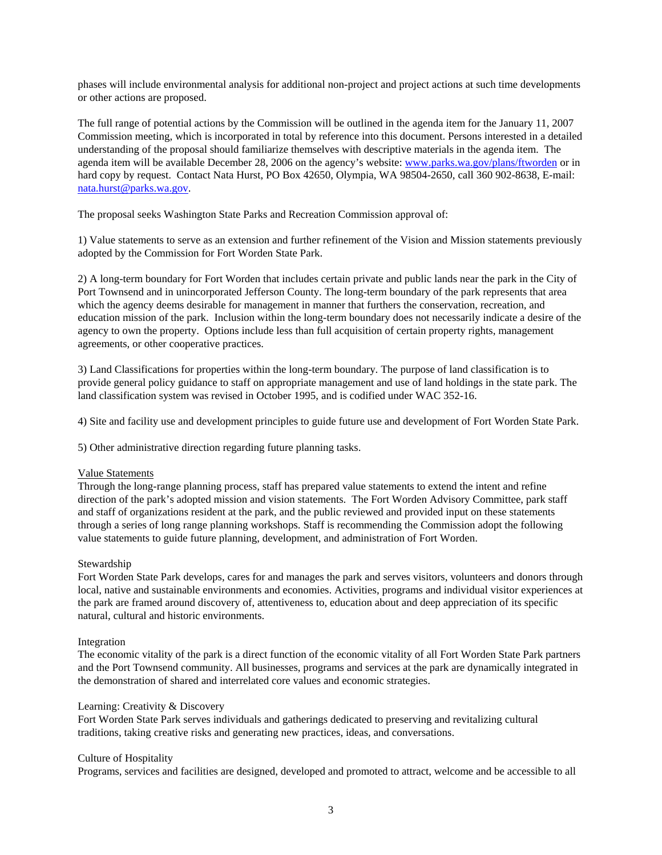phases will include environmental analysis for additional non-project and project actions at such time developments or other actions are proposed.

The full range of potential actions by the Commission will be outlined in the agenda item for the January 11, 2007 Commission meeting, which is incorporated in total by reference into this document. Persons interested in a detailed understanding of the proposal should familiarize themselves with descriptive materials in the agenda item. The agenda item will be available December 28, 2006 on the agency's website: [www.parks.wa.gov/plans/ftworden](http://www.parks.wa.gov/plans/ftworden) or in hard copy by request. Contact Nata Hurst, PO Box 42650, Olympia, WA 98504-2650, call 360 902-8638, E-mail: [nata.hurst@parks.wa.gov](mailto:nata.hurst@parks.wa.gov).

The proposal seeks Washington State Parks and Recreation Commission approval of:

1) Value statements to serve as an extension and further refinement of the Vision and Mission statements previously adopted by the Commission for Fort Worden State Park.

2) A long-term boundary for Fort Worden that includes certain private and public lands near the park in the City of Port Townsend and in unincorporated Jefferson County. The long-term boundary of the park represents that area which the agency deems desirable for management in manner that furthers the conservation, recreation, and education mission of the park. Inclusion within the long-term boundary does not necessarily indicate a desire of the agency to own the property. Options include less than full acquisition of certain property rights, management agreements, or other cooperative practices.

3) Land Classifications for properties within the long-term boundary. The purpose of land classification is to provide general policy guidance to staff on appropriate management and use of land holdings in the state park. The land classification system was revised in October 1995, and is codified under WAC 352-16.

4) Site and facility use and development principles to guide future use and development of Fort Worden State Park.

5) Other administrative direction regarding future planning tasks.

#### Value Statements

Through the long-range planning process, staff has prepared value statements to extend the intent and refine direction of the park's adopted mission and vision statements. The Fort Worden Advisory Committee, park staff and staff of organizations resident at the park, and the public reviewed and provided input on these statements through a series of long range planning workshops. Staff is recommending the Commission adopt the following value statements to guide future planning, development, and administration of Fort Worden.

#### Stewardship

Fort Worden State Park develops, cares for and manages the park and serves visitors, volunteers and donors through local, native and sustainable environments and economies. Activities, programs and individual visitor experiences at the park are framed around discovery of, attentiveness to, education about and deep appreciation of its specific natural, cultural and historic environments.

#### Integration

The economic vitality of the park is a direct function of the economic vitality of all Fort Worden State Park partners and the Port Townsend community. All businesses, programs and services at the park are dynamically integrated in the demonstration of shared and interrelated core values and economic strategies.

#### Learning: Creativity & Discovery

Fort Worden State Park serves individuals and gatherings dedicated to preserving and revitalizing cultural traditions, taking creative risks and generating new practices, ideas, and conversations.

#### Culture of Hospitality

Programs, services and facilities are designed, developed and promoted to attract, welcome and be accessible to all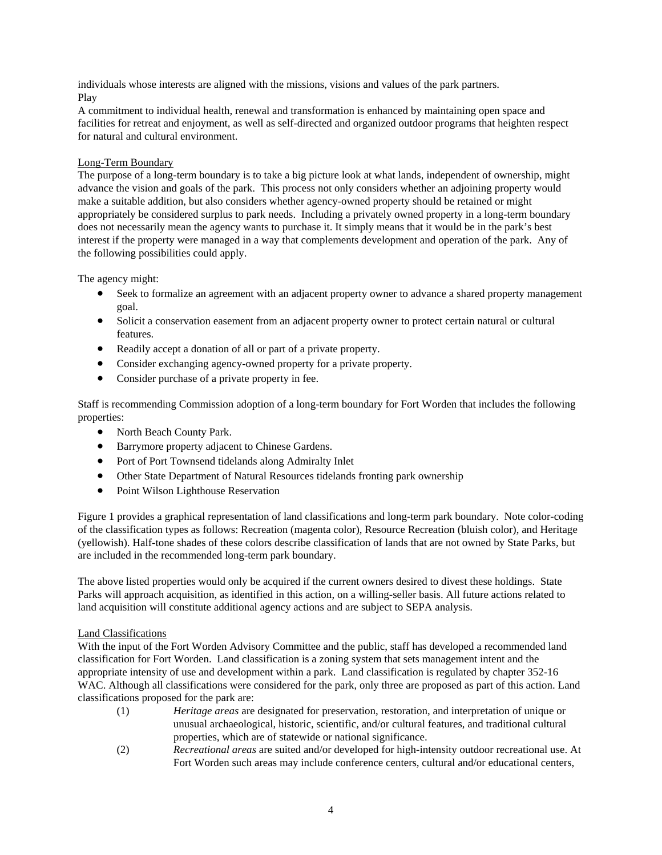individuals whose interests are aligned with the missions, visions and values of the park partners. Play

A commitment to individual health, renewal and transformation is enhanced by maintaining open space and facilities for retreat and enjoyment, as well as self-directed and organized outdoor programs that heighten respect for natural and cultural environment.

## Long-Term Boundary

The purpose of a long-term boundary is to take a big picture look at what lands, independent of ownership, might advance the vision and goals of the park. This process not only considers whether an adjoining property would make a suitable addition, but also considers whether agency-owned property should be retained or might appropriately be considered surplus to park needs. Including a privately owned property in a long-term boundary does not necessarily mean the agency wants to purchase it. It simply means that it would be in the park's best interest if the property were managed in a way that complements development and operation of the park. Any of the following possibilities could apply.

The agency might:

- Seek to formalize an agreement with an adjacent property owner to advance a shared property management goal.
- Solicit a conservation easement from an adjacent property owner to protect certain natural or cultural features.
- Readily accept a donation of all or part of a private property.
- Consider exchanging agency-owned property for a private property.
- Consider purchase of a private property in fee.

Staff is recommending Commission adoption of a long-term boundary for Fort Worden that includes the following properties:

- North Beach County Park.
- Barrymore property adjacent to Chinese Gardens.
- Port of Port Townsend tidelands along Admiralty Inlet
- Other State Department of Natural Resources tidelands fronting park ownership
- Point Wilson Lighthouse Reservation

Figure 1 provides a graphical representation of land classifications and long-term park boundary. Note color-coding of the classification types as follows: Recreation (magenta color), Resource Recreation (bluish color), and Heritage (yellowish). Half-tone shades of these colors describe classification of lands that are not owned by State Parks, but are included in the recommended long-term park boundary.

The above listed properties would only be acquired if the current owners desired to divest these holdings. State Parks will approach acquisition, as identified in this action, on a willing-seller basis. All future actions related to land acquisition will constitute additional agency actions and are subject to SEPA analysis.

## Land Classifications

With the input of the Fort Worden Advisory Committee and the public, staff has developed a recommended land classification for Fort Worden. Land classification is a zoning system that sets management intent and the appropriate intensity of use and development within a park. Land classification is regulated by chapter 352-16 WAC. Although all classifications were considered for the park, only three are proposed as part of this action. Land classifications proposed for the park are:

- (1) *Heritage areas* are designated for preservation, restoration, and interpretation of unique or unusual archaeological, historic, scientific, and/or cultural features, and traditional cultural properties, which are of statewide or national significance.
- (2) *Recreational areas* are suited and/or developed for high-intensity outdoor recreational use. At Fort Worden such areas may include conference centers, cultural and/or educational centers,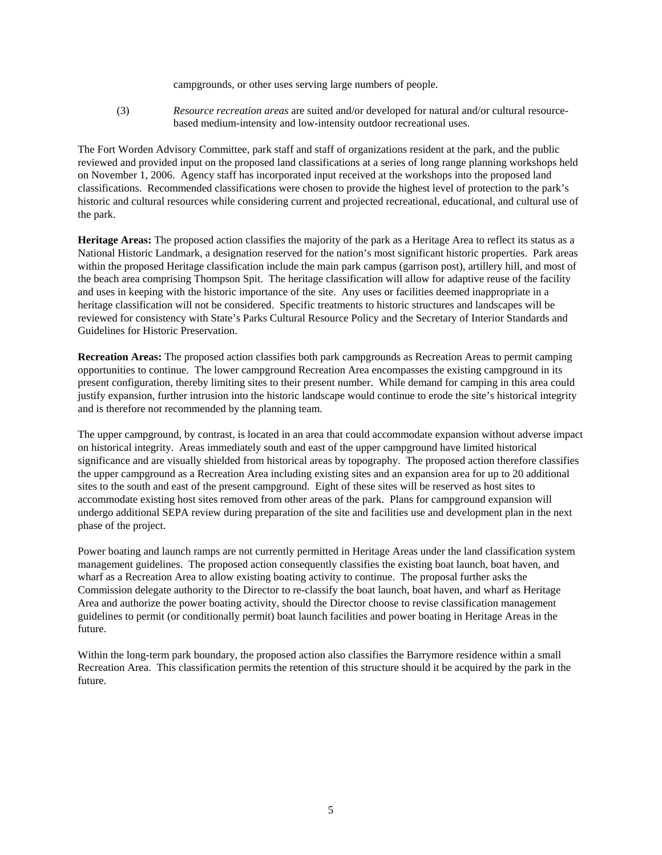campgrounds, or other uses serving large numbers of people.

(3) *Resource recreation areas* are suited and/or developed for natural and/or cultural resourcebased medium-intensity and low-intensity outdoor recreational uses.

The Fort Worden Advisory Committee, park staff and staff of organizations resident at the park, and the public reviewed and provided input on the proposed land classifications at a series of long range planning workshops held on November 1, 2006. Agency staff has incorporated input received at the workshops into the proposed land classifications. Recommended classifications were chosen to provide the highest level of protection to the park's historic and cultural resources while considering current and projected recreational, educational, and cultural use of the park.

**Heritage Areas:** The proposed action classifies the majority of the park as a Heritage Area to reflect its status as a National Historic Landmark, a designation reserved for the nation's most significant historic properties. Park areas within the proposed Heritage classification include the main park campus (garrison post), artillery hill, and most of the beach area comprising Thompson Spit. The heritage classification will allow for adaptive reuse of the facility and uses in keeping with the historic importance of the site. Any uses or facilities deemed inappropriate in a heritage classification will not be considered. Specific treatments to historic structures and landscapes will be reviewed for consistency with State's Parks Cultural Resource Policy and the Secretary of Interior Standards and Guidelines for Historic Preservation.

**Recreation Areas:** The proposed action classifies both park campgrounds as Recreation Areas to permit camping opportunities to continue. The lower campground Recreation Area encompasses the existing campground in its present configuration, thereby limiting sites to their present number. While demand for camping in this area could justify expansion, further intrusion into the historic landscape would continue to erode the site's historical integrity and is therefore not recommended by the planning team.

The upper campground, by contrast, is located in an area that could accommodate expansion without adverse impact on historical integrity. Areas immediately south and east of the upper campground have limited historical significance and are visually shielded from historical areas by topography. The proposed action therefore classifies the upper campground as a Recreation Area including existing sites and an expansion area for up to 20 additional sites to the south and east of the present campground. Eight of these sites will be reserved as host sites to accommodate existing host sites removed from other areas of the park. Plans for campground expansion will undergo additional SEPA review during preparation of the site and facilities use and development plan in the next phase of the project.

Power boating and launch ramps are not currently permitted in Heritage Areas under the land classification system management guidelines. The proposed action consequently classifies the existing boat launch, boat haven, and wharf as a Recreation Area to allow existing boating activity to continue. The proposal further asks the Commission delegate authority to the Director to re-classify the boat launch, boat haven, and wharf as Heritage Area and authorize the power boating activity, should the Director choose to revise classification management guidelines to permit (or conditionally permit) boat launch facilities and power boating in Heritage Areas in the future.

Within the long-term park boundary, the proposed action also classifies the Barrymore residence within a small Recreation Area. This classification permits the retention of this structure should it be acquired by the park in the future.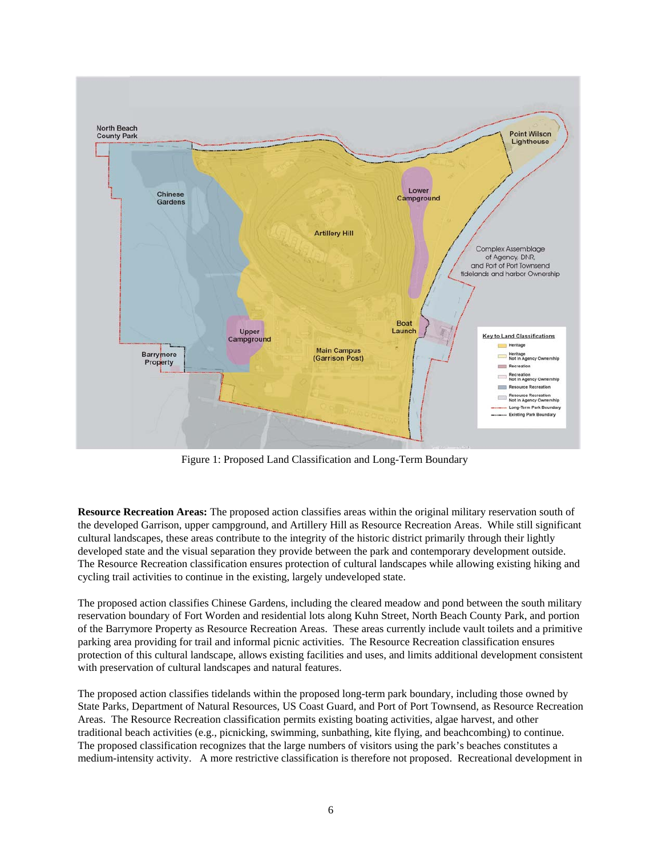

Figure 1: Proposed Land Classification and Long-Term Boundary

**Resource Recreation Areas:** The proposed action classifies areas within the original military reservation south of the developed Garrison, upper campground, and Artillery Hill as Resource Recreation Areas. While still significant cultural landscapes, these areas contribute to the integrity of the historic district primarily through their lightly developed state and the visual separation they provide between the park and contemporary development outside. The Resource Recreation classification ensures protection of cultural landscapes while allowing existing hiking and cycling trail activities to continue in the existing, largely undeveloped state.

The proposed action classifies Chinese Gardens, including the cleared meadow and pond between the south military reservation boundary of Fort Worden and residential lots along Kuhn Street, North Beach County Park, and portion of the Barrymore Property as Resource Recreation Areas. These areas currently include vault toilets and a primitive parking area providing for trail and informal picnic activities. The Resource Recreation classification ensures protection of this cultural landscape, allows existing facilities and uses, and limits additional development consistent with preservation of cultural landscapes and natural features.

The proposed action classifies tidelands within the proposed long-term park boundary, including those owned by State Parks, Department of Natural Resources, US Coast Guard, and Port of Port Townsend, as Resource Recreation Areas. The Resource Recreation classification permits existing boating activities, algae harvest, and other traditional beach activities (e.g., picnicking, swimming, sunbathing, kite flying, and beachcombing) to continue. The proposed classification recognizes that the large numbers of visitors using the park's beaches constitutes a medium-intensity activity. A more restrictive classification is therefore not proposed. Recreational development in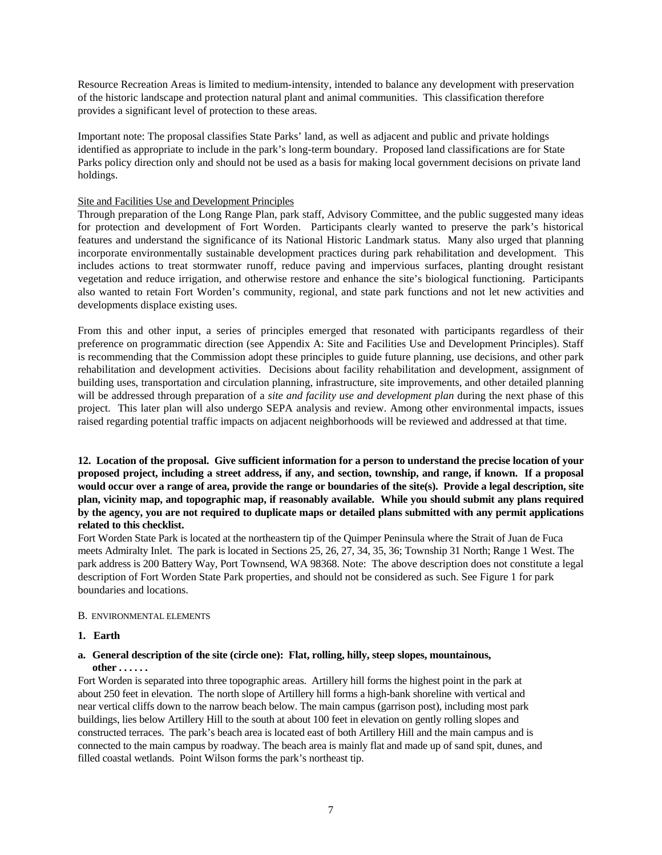Resource Recreation Areas is limited to medium-intensity, intended to balance any development with preservation of the historic landscape and protection natural plant and animal communities. This classification therefore provides a significant level of protection to these areas.

Important note: The proposal classifies State Parks' land, as well as adjacent and public and private holdings identified as appropriate to include in the park's long-term boundary. Proposed land classifications are for State Parks policy direction only and should not be used as a basis for making local government decisions on private land holdings.

## Site and Facilities Use and Development Principles

Through preparation of the Long Range Plan, park staff, Advisory Committee, and the public suggested many ideas for protection and development of Fort Worden. Participants clearly wanted to preserve the park's historical features and understand the significance of its National Historic Landmark status. Many also urged that planning incorporate environmentally sustainable development practices during park rehabilitation and development. This includes actions to treat stormwater runoff, reduce paving and impervious surfaces, planting drought resistant vegetation and reduce irrigation, and otherwise restore and enhance the site's biological functioning. Participants also wanted to retain Fort Worden's community, regional, and state park functions and not let new activities and developments displace existing uses.

From this and other input, a series of principles emerged that resonated with participants regardless of their preference on programmatic direction (see Appendix A: Site and Facilities Use and Development Principles). Staff is recommending that the Commission adopt these principles to guide future planning, use decisions, and other park rehabilitation and development activities. Decisions about facility rehabilitation and development, assignment of building uses, transportation and circulation planning, infrastructure, site improvements, and other detailed planning will be addressed through preparation of a *site and facility use and development plan* during the next phase of this project. This later plan will also undergo SEPA analysis and review. Among other environmental impacts, issues raised regarding potential traffic impacts on adjacent neighborhoods will be reviewed and addressed at that time.

**12. Location of the proposal. Give sufficient information for a person to understand the precise location of your proposed project, including a street address, if any, and section, township, and range, if known. If a proposal would occur over a range of area, provide the range or boundaries of the site(s). Provide a legal description, site plan, vicinity map, and topographic map, if reasonably available. While you should submit any plans required by the agency, you are not required to duplicate maps or detailed plans submitted with any permit applications related to this checklist.** 

Fort Worden State Park is located at the northeastern tip of the Quimper Peninsula where the Strait of Juan de Fuca meets Admiralty Inlet. The park is located in Sections 25, 26, 27, 34, 35, 36; Township 31 North; Range 1 West. The park address is 200 Battery Way, Port Townsend, WA 98368. Note: The above description does not constitute a legal description of Fort Worden State Park properties, and should not be considered as such. See Figure 1 for park boundaries and locations.

#### B. ENVIRONMENTAL ELEMENTS

#### **1. Earth**

#### **a. General description of the site (circle one): Flat, rolling, hilly, steep slopes, mountainous, other . . . . . .**

Fort Worden is separated into three topographic areas. Artillery hill forms the highest point in the park at about 250 feet in elevation. The north slope of Artillery hill forms a high-bank shoreline with vertical and near vertical cliffs down to the narrow beach below. The main campus (garrison post), including most park buildings, lies below Artillery Hill to the south at about 100 feet in elevation on gently rolling slopes and constructed terraces. The park's beach area is located east of both Artillery Hill and the main campus and is connected to the main campus by roadway. The beach area is mainly flat and made up of sand spit, dunes, and filled coastal wetlands. Point Wilson forms the park's northeast tip.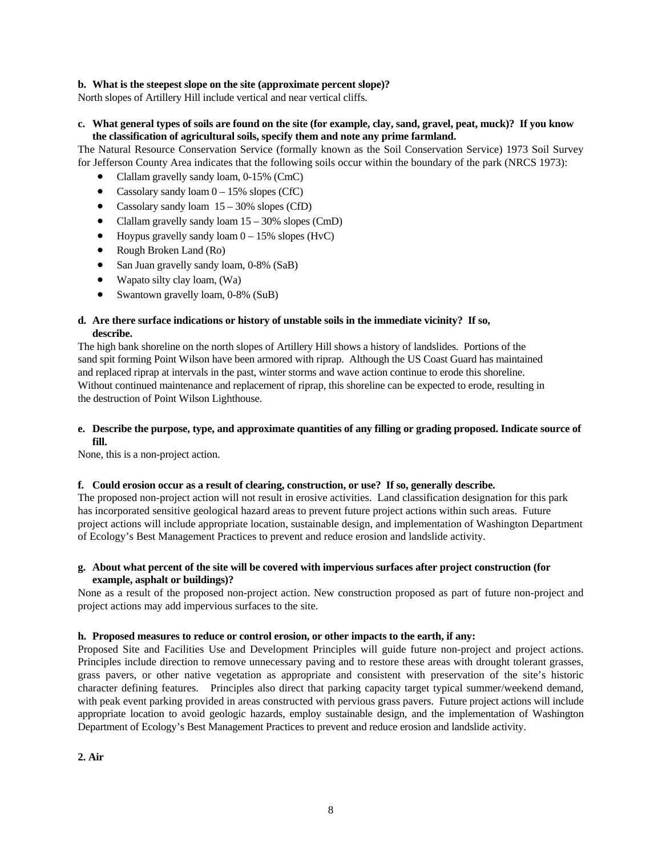## **b. What is the steepest slope on the site (approximate percent slope)?**

North slopes of Artillery Hill include vertical and near vertical cliffs.

## **c. What general types of soils are found on the site (for example, clay, sand, gravel, peat, muck)? If you know the classification of agricultural soils, specify them and note any prime farmland.**

The Natural Resource Conservation Service (formally known as the Soil Conservation Service) 1973 Soil Survey for Jefferson County Area indicates that the following soils occur within the boundary of the park (NRCS 1973):

- Clallam gravelly sandy loam, 0-15% (CmC)
- Cassolary sandy loam  $0 15\%$  slopes (CfC)
- Cassolary sandy loam  $15 30\%$  slopes (CfD)
- Clallam gravelly sandy loam  $15 30\%$  slopes (CmD)
- Hoypus gravelly sandy loam  $0 15\%$  slopes (HvC)
- Rough Broken Land (Ro)
- San Juan gravelly sandy loam, 0-8% (SaB)
- Wapato silty clay loam, (Wa)
- Swantown gravelly loam, 0-8% (SuB)

## **d. Are there surface indications or history of unstable soils in the immediate vicinity? If so, describe.**

The high bank shoreline on the north slopes of Artillery Hill shows a history of landslides. Portions of the sand spit forming Point Wilson have been armored with riprap. Although the US Coast Guard has maintained and replaced riprap at intervals in the past, winter storms and wave action continue to erode this shoreline. Without continued maintenance and replacement of riprap, this shoreline can be expected to erode, resulting in the destruction of Point Wilson Lighthouse.

## **e. Describe the purpose, type, and approximate quantities of any filling or grading proposed. Indicate source of fill.**

None, this is a non-project action.

#### **f. Could erosion occur as a result of clearing, construction, or use? If so, generally describe.**

The proposed non-project action will not result in erosive activities. Land classification designation for this park has incorporated sensitive geological hazard areas to prevent future project actions within such areas. Future project actions will include appropriate location, sustainable design, and implementation of Washington Department of Ecology's Best Management Practices to prevent and reduce erosion and landslide activity.

## **g. About what percent of the site will be covered with impervious surfaces after project construction (for example, asphalt or buildings)?**

None as a result of the proposed non-project action. New construction proposed as part of future non-project and project actions may add impervious surfaces to the site.

#### **h. Proposed measures to reduce or control erosion, or other impacts to the earth, if any:**

Proposed Site and Facilities Use and Development Principles will guide future non-project and project actions. Principles include direction to remove unnecessary paving and to restore these areas with drought tolerant grasses, grass pavers, or other native vegetation as appropriate and consistent with preservation of the site's historic character defining features. Principles also direct that parking capacity target typical summer/weekend demand, with peak event parking provided in areas constructed with pervious grass pavers. Future project actions will include appropriate location to avoid geologic hazards, employ sustainable design, and the implementation of Washington Department of Ecology's Best Management Practices to prevent and reduce erosion and landslide activity.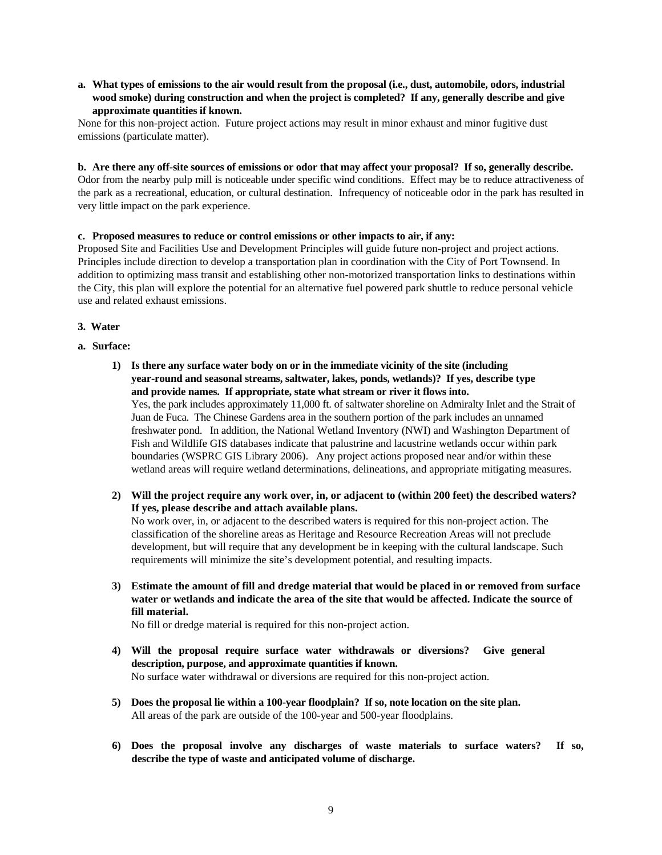**a. What types of emissions to the air would result from the proposal (i.e., dust, automobile, odors, industrial wood smoke) during construction and when the project is completed? If any, generally describe and give approximate quantities if known.** 

None for this non-project action. Future project actions may result in minor exhaust and minor fugitive dust emissions (particulate matter).

**b. Are there any off-site sources of emissions or odor that may affect your proposal? If so, generally describe.** 

Odor from the nearby pulp mill is noticeable under specific wind conditions. Effect may be to reduce attractiveness of the park as a recreational, education, or cultural destination. Infrequency of noticeable odor in the park has resulted in very little impact on the park experience.

## **c. Proposed measures to reduce or control emissions or other impacts to air, if any:**

Proposed Site and Facilities Use and Development Principles will guide future non-project and project actions. Principles include direction to develop a transportation plan in coordination with the City of Port Townsend. In addition to optimizing mass transit and establishing other non-motorized transportation links to destinations within the City, this plan will explore the potential for an alternative fuel powered park shuttle to reduce personal vehicle use and related exhaust emissions.

## **3. Water**

- **a. Surface:** 
	- **1) Is there any surface water body on or in the immediate vicinity of the site (including year-round and seasonal streams, saltwater, lakes, ponds, wetlands)? If yes, describe type and provide names. If appropriate, state what stream or river it flows into.**  Yes, the park includes approximately 11,000 ft. of saltwater shoreline on Admiralty Inlet and the Strait of Juan de Fuca. The Chinese Gardens area in the southern portion of the park includes an unnamed freshwater pond. In addition, the National Wetland Inventory (NWI) and Washington Department of Fish and Wildlife GIS databases indicate that palustrine and lacustrine wetlands occur within park boundaries (WSPRC GIS Library 2006). Any project actions proposed near and/or within these wetland areas will require wetland determinations, delineations, and appropriate mitigating measures.
	- **2) Will the project require any work over, in, or adjacent to (within 200 feet) the described waters? If yes, please describe and attach available plans.**

No work over, in, or adjacent to the described waters is required for this non-project action. The classification of the shoreline areas as Heritage and Resource Recreation Areas will not preclude development, but will require that any development be in keeping with the cultural landscape. Such requirements will minimize the site's development potential, and resulting impacts.

**3) Estimate the amount of fill and dredge material that would be placed in or removed from surface water or wetlands and indicate the area of the site that would be affected. Indicate the source of fill material.** 

No fill or dredge material is required for this non-project action.

- **4) Will the proposal require surface water withdrawals or diversions? Give general description, purpose, and approximate quantities if known.**  No surface water withdrawal or diversions are required for this non-project action.
- **5) Does the proposal lie within a 100-year floodplain? If so, note location on the site plan.**  All areas of the park are outside of the 100-year and 500-year floodplains.
- **6) Does the proposal involve any discharges of waste materials to surface waters? If so, describe the type of waste and anticipated volume of discharge.**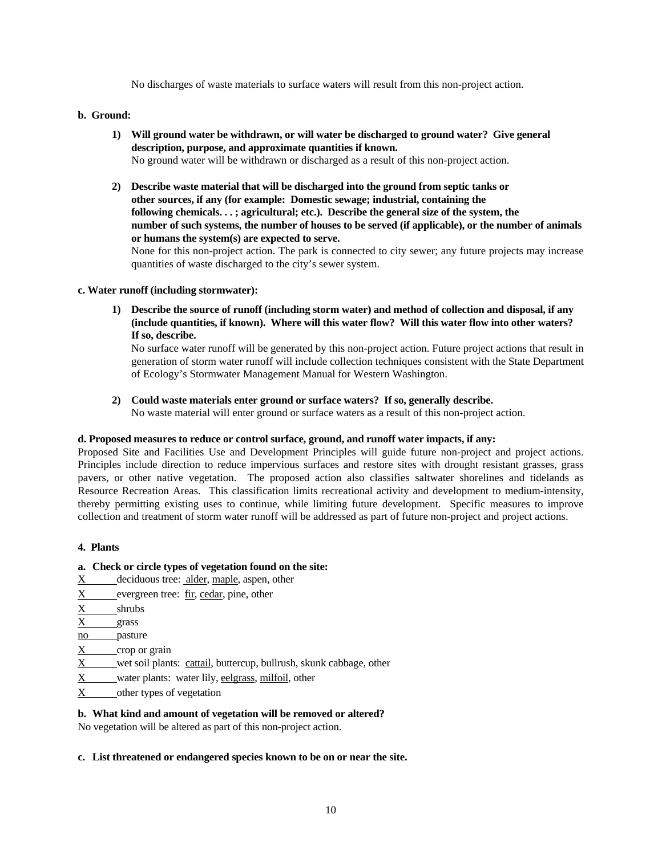No discharges of waste materials to surface waters will result from this non-project action.

## **b. Ground:**

- **1) Will ground water be withdrawn, or will water be discharged to ground water? Give general description, purpose, and approximate quantities if known.**  No ground water will be withdrawn or discharged as a result of this non-project action.
- **2) Describe waste material that will be discharged into the ground from septic tanks or other sources, if any (for example: Domestic sewage; industrial, containing the following chemicals. . . ; agricultural; etc.). Describe the general size of the system, the number of such systems, the number of houses to be served (if applicable), or the number of animals or humans the system(s) are expected to serve.**

None for this non-project action. The park is connected to city sewer; any future projects may increase quantities of waste discharged to the city's sewer system.

## **c. Water runoff (including stormwater):**

**1) Describe the source of runoff (including storm water) and method of collection and disposal, if any (include quantities, if known). Where will this water flow? Will this water flow into other waters? If so, describe.** 

No surface water runoff will be generated by this non-project action. Future project actions that result in generation of storm water runoff will include collection techniques consistent with the State Department of Ecology's Stormwater Management Manual for Western Washington.

**2) Could waste materials enter ground or surface waters? If so, generally describe.** 

No waste material will enter ground or surface waters as a result of this non-project action.

## **d. Proposed measures to reduce or control surface, ground, and runoff water impacts, if any:**

Proposed Site and Facilities Use and Development Principles will guide future non-project and project actions. Principles include direction to reduce impervious surfaces and restore sites with drought resistant grasses, grass pavers, or other native vegetation. The proposed action also classifies saltwater shorelines and tidelands as Resource Recreation Areas. This classification limits recreational activity and development to medium-intensity, thereby permitting existing uses to continue, while limiting future development. Specific measures to improve collection and treatment of storm water runoff will be addressed as part of future non-project and project actions.

#### **4. Plants**

## **a. Check or circle types of vegetation found on the site:**

- X \_ deciduous tree: alder, maple, aspen, other
- $X$  evergreen tree:  $f_{ir}$ , cedar, pine, other
- X shrubs
- X grass
- no pasture
- X crop or grain
- X wet soil plants: cattail, buttercup, bullrush, skunk cabbage, other
- X water plants: water lily, eelgrass, milfoil, other
- X other types of vegetation

## **b. What kind and amount of vegetation will be removed or altered?**

No vegetation will be altered as part of this non-project action.

#### **c. List threatened or endangered species known to be on or near the site.**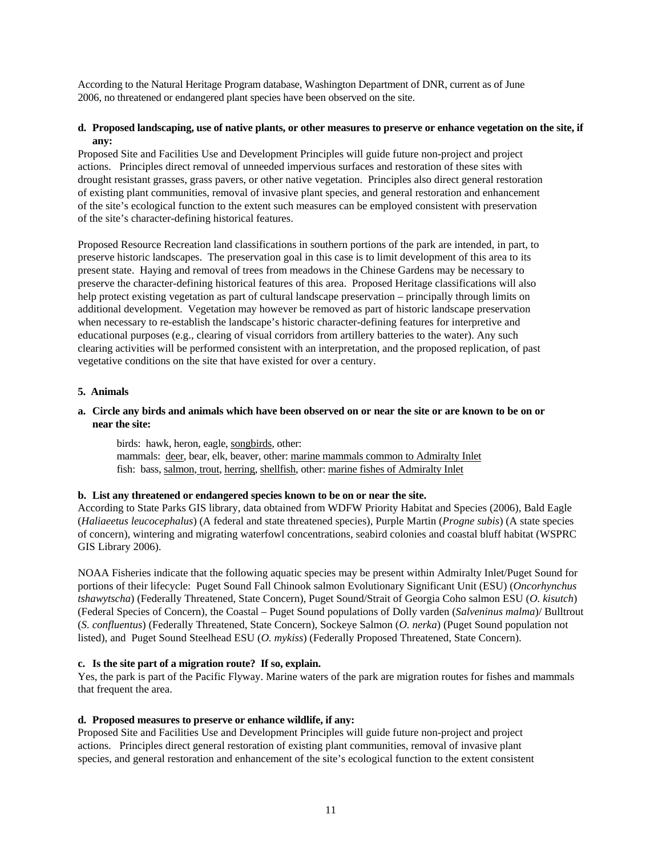According to the Natural Heritage Program database, Washington Department of DNR, current as of June 2006, no threatened or endangered plant species have been observed on the site.

## **d. Proposed landscaping, use of native plants, or other measures to preserve or enhance vegetation on the site, if any:**

Proposed Site and Facilities Use and Development Principles will guide future non-project and project actions. Principles direct removal of unneeded impervious surfaces and restoration of these sites with drought resistant grasses, grass pavers, or other native vegetation. Principles also direct general restoration of existing plant communities, removal of invasive plant species, and general restoration and enhancement of the site's ecological function to the extent such measures can be employed consistent with preservation of the site's character-defining historical features.

Proposed Resource Recreation land classifications in southern portions of the park are intended, in part, to preserve historic landscapes. The preservation goal in this case is to limit development of this area to its present state. Haying and removal of trees from meadows in the Chinese Gardens may be necessary to preserve the character-defining historical features of this area. Proposed Heritage classifications will also help protect existing vegetation as part of cultural landscape preservation – principally through limits on additional development. Vegetation may however be removed as part of historic landscape preservation when necessary to re-establish the landscape's historic character-defining features for interpretive and educational purposes (e.g., clearing of visual corridors from artillery batteries to the water). Any such clearing activities will be performed consistent with an interpretation, and the proposed replication, of past vegetative conditions on the site that have existed for over a century.

#### **5. Animals**

## **a. Circle any birds and animals which have been observed on or near the site or are known to be on or near the site:**

 birds: hawk, heron, eagle, songbirds, other: mammals: deer, bear, elk, beaver, other: marine mammals common to Admiralty Inlet fish: bass, salmon, trout, herring, shellfish, other: marine fishes of Admiralty Inlet

## **b. List any threatened or endangered species known to be on or near the site.**

According to State Parks GIS library, data obtained from WDFW Priority Habitat and Species (2006), Bald Eagle (*Haliaeetus leucocephalus*) (A federal and state threatened species), Purple Martin (*Progne subis*) (A state species of concern), wintering and migrating waterfowl concentrations, seabird colonies and coastal bluff habitat (WSPRC GIS Library 2006).

NOAA Fisheries indicate that the following aquatic species may be present within Admiralty Inlet/Puget Sound for portions of their lifecycle: Puget Sound Fall Chinook salmon Evolutionary Significant Unit (ESU) (*Oncorhynchus tshawytscha*) (Federally Threatened, State Concern), Puget Sound/Strait of Georgia Coho salmon ESU (*O. kisutch*) (Federal Species of Concern), the Coastal – Puget Sound populations of Dolly varden (*Salveninus malma*)/ Bulltrout (*S. confluentus*) (Federally Threatened, State Concern), Sockeye Salmon (*O. nerka*) (Puget Sound population not listed), and Puget Sound Steelhead ESU (*O. mykiss*) (Federally Proposed Threatened, State Concern).

## **c. Is the site part of a migration route? If so, explain.**

Yes, the park is part of the Pacific Flyway. Marine waters of the park are migration routes for fishes and mammals that frequent the area.

## **d. Proposed measures to preserve or enhance wildlife, if any:**

Proposed Site and Facilities Use and Development Principles will guide future non-project and project actions. Principles direct general restoration of existing plant communities, removal of invasive plant species, and general restoration and enhancement of the site's ecological function to the extent consistent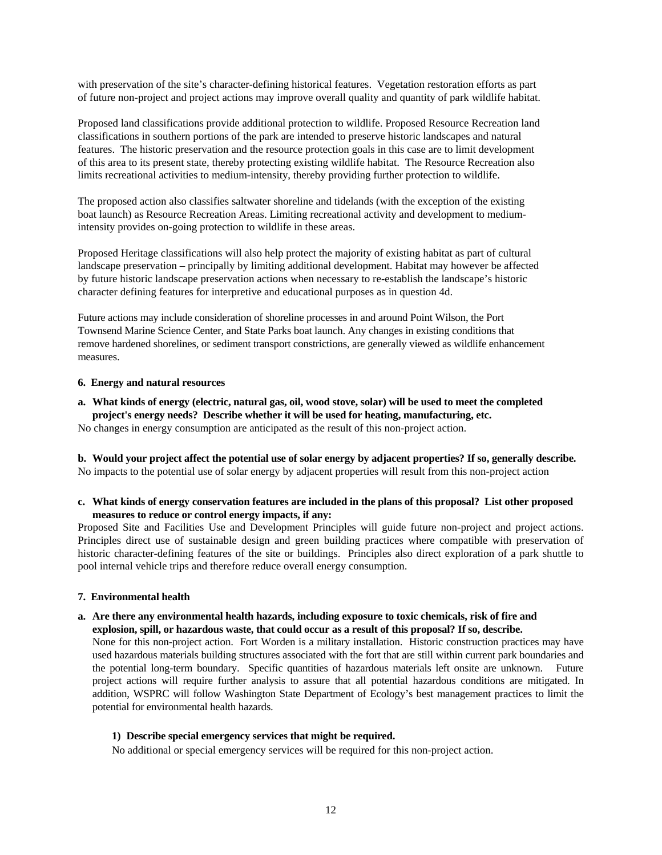with preservation of the site's character-defining historical features. Vegetation restoration efforts as part of future non-project and project actions may improve overall quality and quantity of park wildlife habitat.

Proposed land classifications provide additional protection to wildlife. Proposed Resource Recreation land classifications in southern portions of the park are intended to preserve historic landscapes and natural features. The historic preservation and the resource protection goals in this case are to limit development of this area to its present state, thereby protecting existing wildlife habitat. The Resource Recreation also limits recreational activities to medium-intensity, thereby providing further protection to wildlife.

The proposed action also classifies saltwater shoreline and tidelands (with the exception of the existing boat launch) as Resource Recreation Areas. Limiting recreational activity and development to mediumintensity provides on-going protection to wildlife in these areas.

Proposed Heritage classifications will also help protect the majority of existing habitat as part of cultural landscape preservation – principally by limiting additional development. Habitat may however be affected by future historic landscape preservation actions when necessary to re-establish the landscape's historic character defining features for interpretive and educational purposes as in question 4d.

Future actions may include consideration of shoreline processes in and around Point Wilson, the Port Townsend Marine Science Center, and State Parks boat launch. Any changes in existing conditions that remove hardened shorelines, or sediment transport constrictions, are generally viewed as wildlife enhancement measures.

#### **6. Energy and natural resources**

**a. What kinds of energy (electric, natural gas, oil, wood stove, solar) will be used to meet the completed project's energy needs? Describe whether it will be used for heating, manufacturing, etc.** 

No changes in energy consumption are anticipated as the result of this non-project action.

**b. Would your project affect the potential use of solar energy by adjacent properties? If so, generally describe.**  No impacts to the potential use of solar energy by adjacent properties will result from this non-project action

## **c. What kinds of energy conservation features are included in the plans of this proposal? List other proposed measures to reduce or control energy impacts, if any:**

Proposed Site and Facilities Use and Development Principles will guide future non-project and project actions. Principles direct use of sustainable design and green building practices where compatible with preservation of historic character-defining features of the site or buildings. Principles also direct exploration of a park shuttle to pool internal vehicle trips and therefore reduce overall energy consumption.

## **7. Environmental health**

## **a. Are there any environmental health hazards, including exposure to toxic chemicals, risk of fire and explosion, spill, or hazardous waste, that could occur as a result of this proposal? If so, describe.**

None for this non-project action. Fort Worden is a military installation. Historic construction practices may have used hazardous materials building structures associated with the fort that are still within current park boundaries and the potential long-term boundary. Specific quantities of hazardous materials left onsite are unknown. Future project actions will require further analysis to assure that all potential hazardous conditions are mitigated. In addition, WSPRC will follow Washington State Department of Ecology's best management practices to limit the potential for environmental health hazards.

## **1) Describe special emergency services that might be required.**

No additional or special emergency services will be required for this non-project action.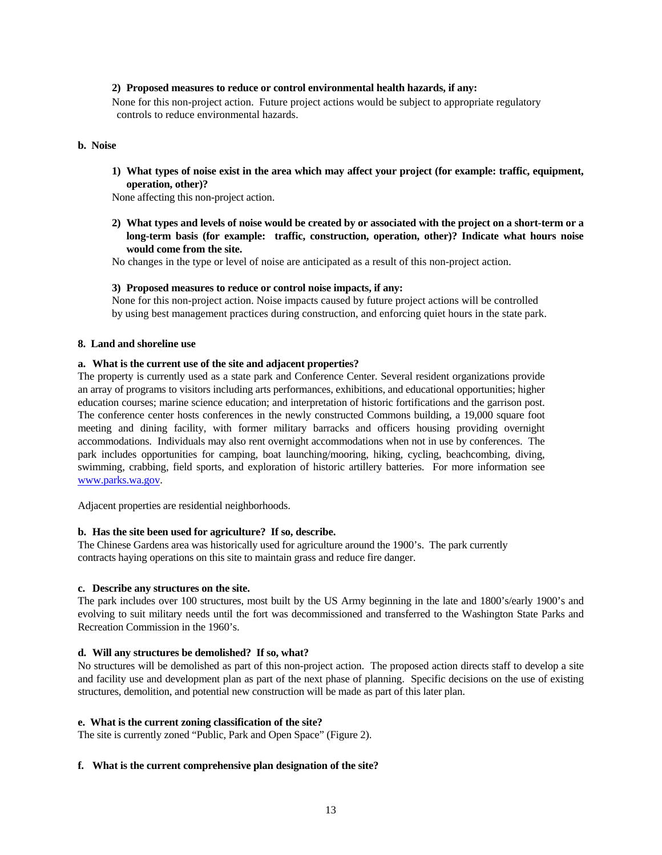#### **2) Proposed measures to reduce or control environmental health hazards, if any:**

None for this non-project action. Future project actions would be subject to appropriate regulatory controls to reduce environmental hazards.

#### **b. Noise**

**1) What types of noise exist in the area which may affect your project (for example: traffic, equipment, operation, other)?** 

None affecting this non-project action.

**2) What types and levels of noise would be created by or associated with the project on a short-term or a long-term basis (for example: traffic, construction, operation, other)? Indicate what hours noise would come from the site.** 

No changes in the type or level of noise are anticipated as a result of this non-project action.

#### **3) Proposed measures to reduce or control noise impacts, if any:**

None for this non-project action. Noise impacts caused by future project actions will be controlled by using best management practices during construction, and enforcing quiet hours in the state park.

#### **8. Land and shoreline use**

#### **a. What is the current use of the site and adjacent properties?**

The property is currently used as a state park and Conference Center. Several resident organizations provide an array of programs to visitors including arts performances, exhibitions, and educational opportunities; higher education courses; marine science education; and interpretation of historic fortifications and the garrison post. The conference center hosts conferences in the newly constructed Commons building, a 19,000 square foot meeting and dining facility, with former military barracks and officers housing providing overnight accommodations. Individuals may also rent overnight accommodations when not in use by conferences. The park includes opportunities for camping, boat launching/mooring, hiking, cycling, beachcombing, diving, swimming, crabbing, field sports, and exploration of historic artillery batteries. For more information see [www.parks.wa.gov](http://www.parks.wa.gov/).

Adjacent properties are residential neighborhoods.

#### **b. Has the site been used for agriculture? If so, describe.**

The Chinese Gardens area was historically used for agriculture around the 1900's. The park currently contracts haying operations on this site to maintain grass and reduce fire danger.

#### **c. Describe any structures on the site.**

The park includes over 100 structures, most built by the US Army beginning in the late and 1800's/early 1900's and evolving to suit military needs until the fort was decommissioned and transferred to the Washington State Parks and Recreation Commission in the 1960's.

#### **d. Will any structures be demolished? If so, what?**

No structures will be demolished as part of this non-project action. The proposed action directs staff to develop a site and facility use and development plan as part of the next phase of planning. Specific decisions on the use of existing structures, demolition, and potential new construction will be made as part of this later plan.

#### **e. What is the current zoning classification of the site?**

The site is currently zoned "Public, Park and Open Space" (Figure 2).

#### **f. What is the current comprehensive plan designation of the site?**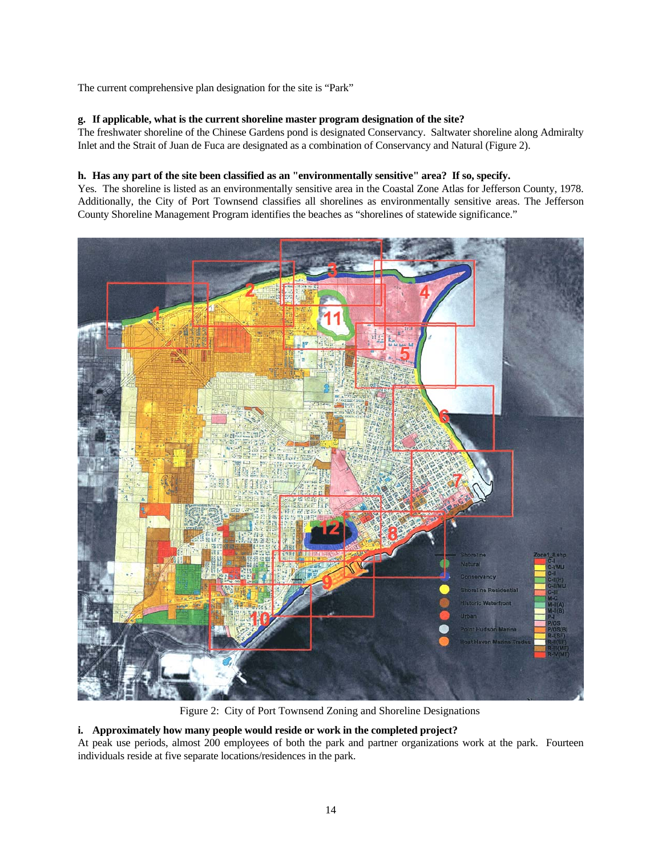The current comprehensive plan designation for the site is "Park"

## **g. If applicable, what is the current shoreline master program designation of the site?**

The freshwater shoreline of the Chinese Gardens pond is designated Conservancy. Saltwater shoreline along Admiralty Inlet and the Strait of Juan de Fuca are designated as a combination of Conservancy and Natural (Figure 2).

## **h. Has any part of the site been classified as an "environmentally sensitive" area? If so, specify.**

Yes. The shoreline is listed as an environmentally sensitive area in the Coastal Zone Atlas for Jefferson County, 1978. Additionally, the City of Port Townsend classifies all shorelines as environmentally sensitive areas. The Jefferson County Shoreline Management Program identifies the beaches as "shorelines of statewide significance."



Figure 2: City of Port Townsend Zoning and Shoreline Designations

## **i. Approximately how many people would reside or work in the completed project?**

At peak use periods, almost 200 employees of both the park and partner organizations work at the park. Fourteen individuals reside at five separate locations/residences in the park.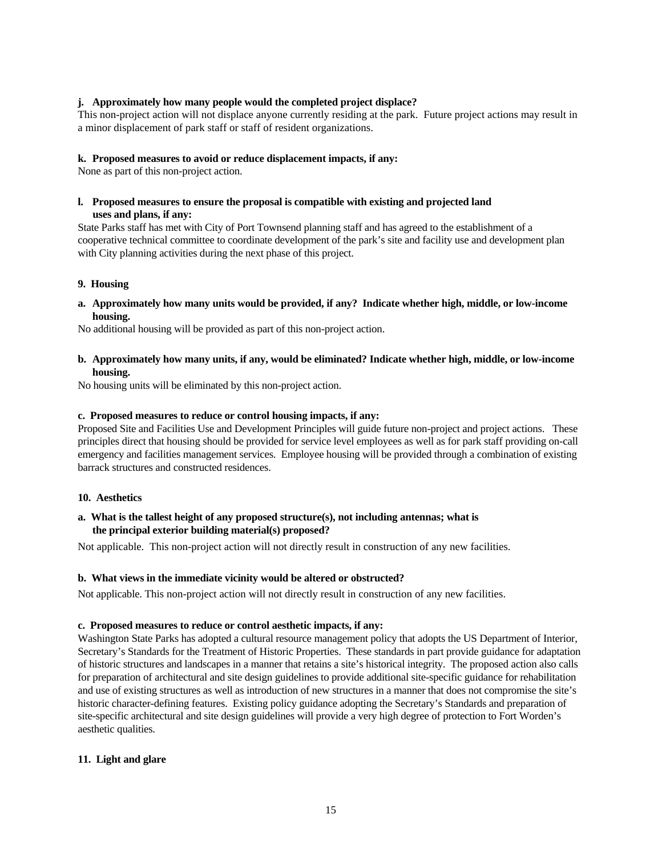#### **j. Approximately how many people would the completed project displace?**

This non-project action will not displace anyone currently residing at the park. Future project actions may result in a minor displacement of park staff or staff of resident organizations.

#### **k. Proposed measures to avoid or reduce displacement impacts, if any:**

None as part of this non-project action.

## **l. Proposed measures to ensure the proposal is compatible with existing and projected land uses and plans, if any:**

State Parks staff has met with City of Port Townsend planning staff and has agreed to the establishment of a cooperative technical committee to coordinate development of the park's site and facility use and development plan with City planning activities during the next phase of this project.

## **9. Housing**

**a. Approximately how many units would be provided, if any? Indicate whether high, middle, or low-income housing.** 

No additional housing will be provided as part of this non-project action.

## **b. Approximately how many units, if any, would be eliminated? Indicate whether high, middle, or low-income housing.**

No housing units will be eliminated by this non-project action.

## **c. Proposed measures to reduce or control housing impacts, if any:**

Proposed Site and Facilities Use and Development Principles will guide future non-project and project actions. These principles direct that housing should be provided for service level employees as well as for park staff providing on-call emergency and facilities management services. Employee housing will be provided through a combination of existing barrack structures and constructed residences.

### **10. Aesthetics**

## **a. What is the tallest height of any proposed structure(s), not including antennas; what is the principal exterior building material(s) proposed?**

Not applicable. This non-project action will not directly result in construction of any new facilities.

## **b. What views in the immediate vicinity would be altered or obstructed?**

Not applicable. This non-project action will not directly result in construction of any new facilities.

#### **c. Proposed measures to reduce or control aesthetic impacts, if any:**

Washington State Parks has adopted a cultural resource management policy that adopts the US Department of Interior, Secretary's Standards for the Treatment of Historic Properties. These standards in part provide guidance for adaptation of historic structures and landscapes in a manner that retains a site's historical integrity. The proposed action also calls for preparation of architectural and site design guidelines to provide additional site-specific guidance for rehabilitation and use of existing structures as well as introduction of new structures in a manner that does not compromise the site's historic character-defining features. Existing policy guidance adopting the Secretary's Standards and preparation of site-specific architectural and site design guidelines will provide a very high degree of protection to Fort Worden's aesthetic qualities.

## **11. Light and glare**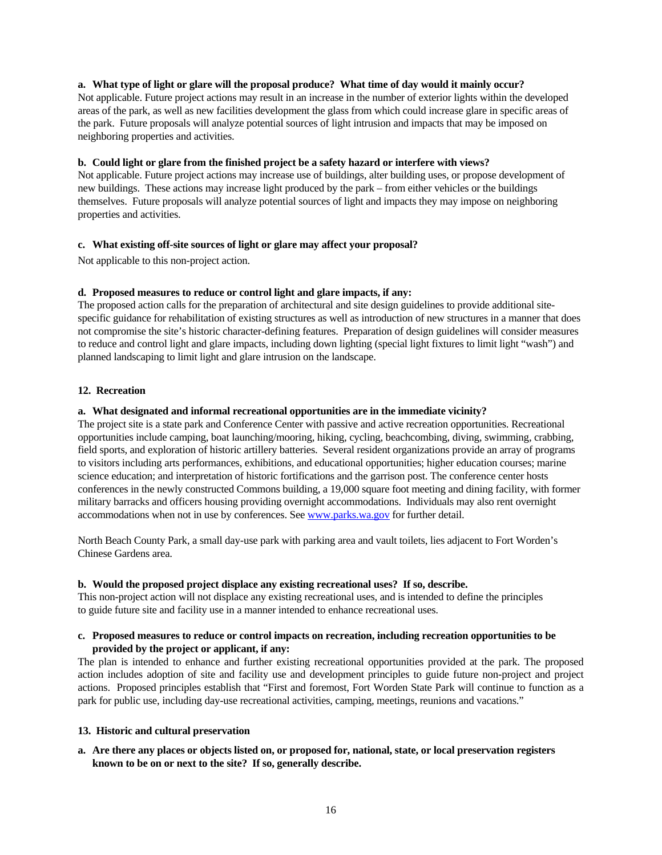## **a. What type of light or glare will the proposal produce? What time of day would it mainly occur?**

Not applicable. Future project actions may result in an increase in the number of exterior lights within the developed areas of the park, as well as new facilities development the glass from which could increase glare in specific areas of the park. Future proposals will analyze potential sources of light intrusion and impacts that may be imposed on neighboring properties and activities.

## **b. Could light or glare from the finished project be a safety hazard or interfere with views?**

Not applicable. Future project actions may increase use of buildings, alter building uses, or propose development of new buildings. These actions may increase light produced by the park – from either vehicles or the buildings themselves. Future proposals will analyze potential sources of light and impacts they may impose on neighboring properties and activities.

## **c. What existing off-site sources of light or glare may affect your proposal?**

Not applicable to this non-project action.

## **d. Proposed measures to reduce or control light and glare impacts, if any:**

The proposed action calls for the preparation of architectural and site design guidelines to provide additional sitespecific guidance for rehabilitation of existing structures as well as introduction of new structures in a manner that does not compromise the site's historic character-defining features. Preparation of design guidelines will consider measures to reduce and control light and glare impacts, including down lighting (special light fixtures to limit light "wash") and planned landscaping to limit light and glare intrusion on the landscape.

#### **12. Recreation**

## **a. What designated and informal recreational opportunities are in the immediate vicinity?**

The project site is a state park and Conference Center with passive and active recreation opportunities. Recreational opportunities include camping, boat launching/mooring, hiking, cycling, beachcombing, diving, swimming, crabbing, field sports, and exploration of historic artillery batteries. Several resident organizations provide an array of programs to visitors including arts performances, exhibitions, and educational opportunities; higher education courses; marine science education; and interpretation of historic fortifications and the garrison post. The conference center hosts conferences in the newly constructed Commons building, a 19,000 square foot meeting and dining facility, with former military barracks and officers housing providing overnight accommodations. Individuals may also rent overnight accommodations when not in use by conferences. See [www.parks.wa.gov](http://www.parks.wa.gov/) for further detail.

North Beach County Park, a small day-use park with parking area and vault toilets, lies adjacent to Fort Worden's Chinese Gardens area.

#### **b. Would the proposed project displace any existing recreational uses? If so, describe.**

This non-project action will not displace any existing recreational uses, and is intended to define the principles to guide future site and facility use in a manner intended to enhance recreational uses.

## **c. Proposed measures to reduce or control impacts on recreation, including recreation opportunities to be provided by the project or applicant, if any:**

The plan is intended to enhance and further existing recreational opportunities provided at the park. The proposed action includes adoption of site and facility use and development principles to guide future non-project and project actions. Proposed principles establish that "First and foremost, Fort Worden State Park will continue to function as a park for public use, including day-use recreational activities, camping, meetings, reunions and vacations."

#### **13. Historic and cultural preservation**

**a. Are there any places or objects listed on, or proposed for, national, state, or local preservation registers known to be on or next to the site? If so, generally describe.**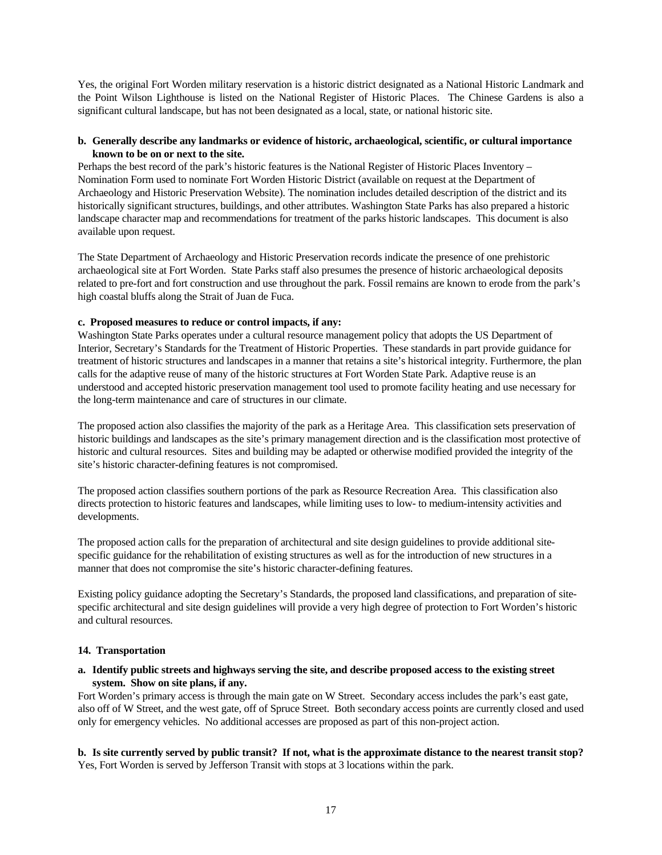Yes, the original Fort Worden military reservation is a historic district designated as a National Historic Landmark and the Point Wilson Lighthouse is listed on the National Register of Historic Places. The Chinese Gardens is also a significant cultural landscape, but has not been designated as a local, state, or national historic site.

## **b. Generally describe any landmarks or evidence of historic, archaeological, scientific, or cultural importance known to be on or next to the site.**

Perhaps the best record of the park's historic features is the National Register of Historic Places Inventory – Nomination Form used to nominate Fort Worden Historic District (available on request at the Department of Archaeology and Historic Preservation Website). The nomination includes detailed description of the district and its historically significant structures, buildings, and other attributes. Washington State Parks has also prepared a historic landscape character map and recommendations for treatment of the parks historic landscapes. This document is also available upon request.

The State Department of Archaeology and Historic Preservation records indicate the presence of one prehistoric archaeological site at Fort Worden. State Parks staff also presumes the presence of historic archaeological deposits related to pre-fort and fort construction and use throughout the park. Fossil remains are known to erode from the park's high coastal bluffs along the Strait of Juan de Fuca.

## **c. Proposed measures to reduce or control impacts, if any:**

Washington State Parks operates under a cultural resource management policy that adopts the US Department of Interior, Secretary's Standards for the Treatment of Historic Properties. These standards in part provide guidance for treatment of historic structures and landscapes in a manner that retains a site's historical integrity. Furthermore, the plan calls for the adaptive reuse of many of the historic structures at Fort Worden State Park. Adaptive reuse is an understood and accepted historic preservation management tool used to promote facility heating and use necessary for the long-term maintenance and care of structures in our climate.

The proposed action also classifies the majority of the park as a Heritage Area. This classification sets preservation of historic buildings and landscapes as the site's primary management direction and is the classification most protective of historic and cultural resources. Sites and building may be adapted or otherwise modified provided the integrity of the site's historic character-defining features is not compromised.

The proposed action classifies southern portions of the park as Resource Recreation Area. This classification also directs protection to historic features and landscapes, while limiting uses to low- to medium-intensity activities and developments.

The proposed action calls for the preparation of architectural and site design guidelines to provide additional sitespecific guidance for the rehabilitation of existing structures as well as for the introduction of new structures in a manner that does not compromise the site's historic character-defining features.

Existing policy guidance adopting the Secretary's Standards, the proposed land classifications, and preparation of sitespecific architectural and site design guidelines will provide a very high degree of protection to Fort Worden's historic and cultural resources.

## **14. Transportation**

## **a. Identify public streets and highways serving the site, and describe proposed access to the existing street system. Show on site plans, if any.**

Fort Worden's primary access is through the main gate on W Street. Secondary access includes the park's east gate, also off of W Street, and the west gate, off of Spruce Street. Both secondary access points are currently closed and used only for emergency vehicles. No additional accesses are proposed as part of this non-project action.

**b. Is site currently served by public transit? If not, what is the approximate distance to the nearest transit stop?**  Yes, Fort Worden is served by Jefferson Transit with stops at 3 locations within the park.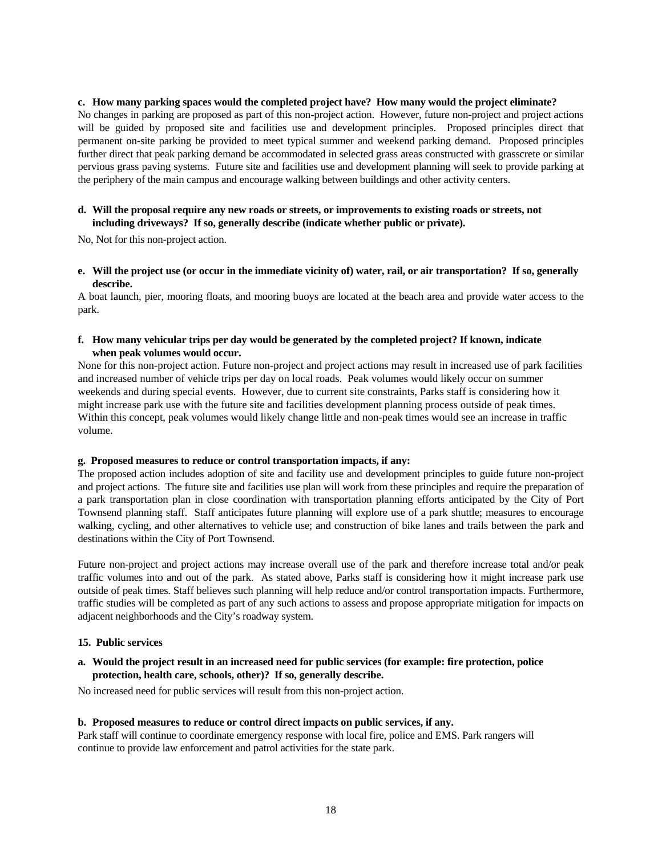**c. How many parking spaces would the completed project have? How many would the project eliminate?** 

No changes in parking are proposed as part of this non-project action. However, future non-project and project actions will be guided by proposed site and facilities use and development principles. Proposed principles direct that permanent on-site parking be provided to meet typical summer and weekend parking demand. Proposed principles further direct that peak parking demand be accommodated in selected grass areas constructed with grasscrete or similar pervious grass paving systems. Future site and facilities use and development planning will seek to provide parking at the periphery of the main campus and encourage walking between buildings and other activity centers.

## **d. Will the proposal require any new roads or streets, or improvements to existing roads or streets, not including driveways? If so, generally describe (indicate whether public or private).**

No, Not for this non-project action.

**e. Will the project use (or occur in the immediate vicinity of) water, rail, or air transportation? If so, generally describe.** 

A boat launch, pier, mooring floats, and mooring buoys are located at the beach area and provide water access to the park.

#### **f. How many vehicular trips per day would be generated by the completed project? If known, indicate when peak volumes would occur.**

None for this non-project action. Future non-project and project actions may result in increased use of park facilities and increased number of vehicle trips per day on local roads. Peak volumes would likely occur on summer weekends and during special events. However, due to current site constraints, Parks staff is considering how it might increase park use with the future site and facilities development planning process outside of peak times. Within this concept, peak volumes would likely change little and non-peak times would see an increase in traffic volume.

#### **g. Proposed measures to reduce or control transportation impacts, if any:**

The proposed action includes adoption of site and facility use and development principles to guide future non-project and project actions. The future site and facilities use plan will work from these principles and require the preparation of a park transportation plan in close coordination with transportation planning efforts anticipated by the City of Port Townsend planning staff. Staff anticipates future planning will explore use of a park shuttle; measures to encourage walking, cycling, and other alternatives to vehicle use; and construction of bike lanes and trails between the park and destinations within the City of Port Townsend.

Future non-project and project actions may increase overall use of the park and therefore increase total and/or peak traffic volumes into and out of the park. As stated above, Parks staff is considering how it might increase park use outside of peak times. Staff believes such planning will help reduce and/or control transportation impacts. Furthermore, traffic studies will be completed as part of any such actions to assess and propose appropriate mitigation for impacts on adjacent neighborhoods and the City's roadway system.

#### **15. Public services**

**a. Would the project result in an increased need for public services (for example: fire protection, police protection, health care, schools, other)? If so, generally describe.** 

No increased need for public services will result from this non-project action.

#### **b. Proposed measures to reduce or control direct impacts on public services, if any.**

Park staff will continue to coordinate emergency response with local fire, police and EMS. Park rangers will continue to provide law enforcement and patrol activities for the state park.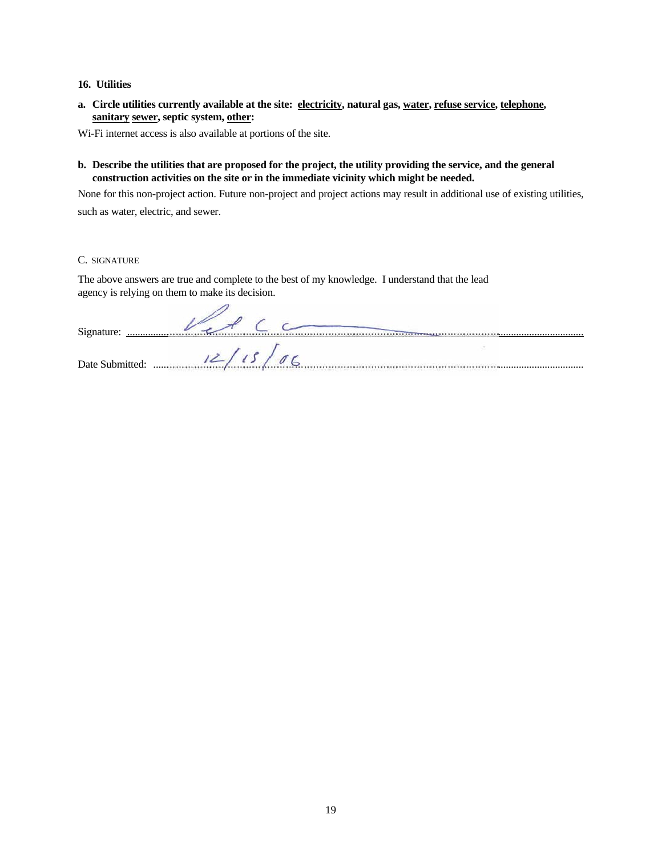## **16. Utilities**

**a. Circle utilities currently available at the site: electricity, natural gas, water, refuse service, telephone, sanitary sewer, septic system, other:** 

Wi-Fi internet access is also available at portions of the site.

**b. Describe the utilities that are proposed for the project, the utility providing the service, and the general construction activities on the site or in the immediate vicinity which might be needed.** 

None for this non-project action. Future non-project and project actions may result in additional use of existing utilities,

such as water, electric, and sewer.

C. SIGNATURE

The above answers are true and complete to the best of my knowledge. I understand that the lead agency is relying on them to make its decision.

| Signature:<br>. |  |
|-----------------|--|
|                 |  |
| Date Submitted: |  |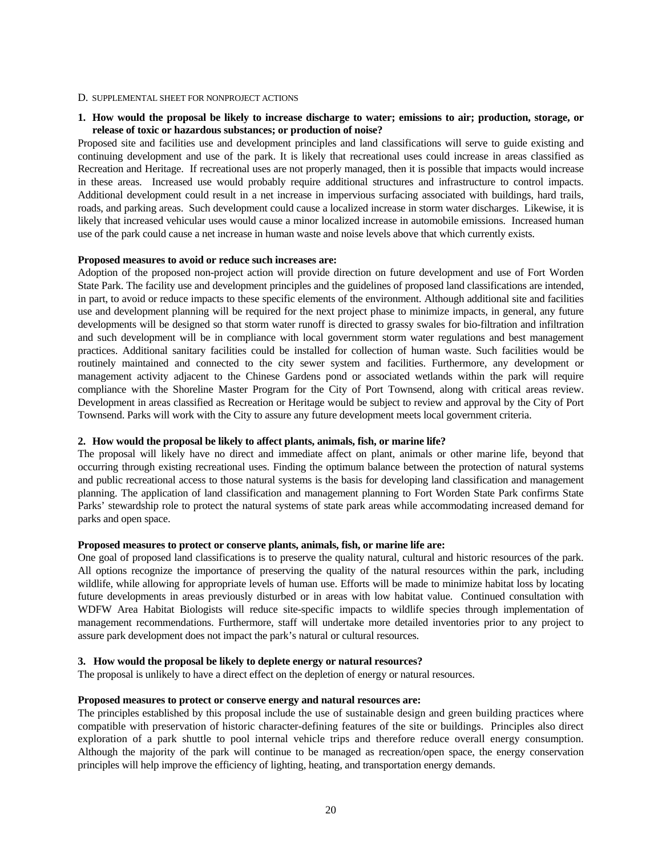#### D. SUPPLEMENTAL SHEET FOR NONPROJECT ACTIONS

#### **1. How would the proposal be likely to increase discharge to water; emissions to air; production, storage, or release of toxic or hazardous substances; or production of noise?**

Proposed site and facilities use and development principles and land classifications will serve to guide existing and continuing development and use of the park. It is likely that recreational uses could increase in areas classified as Recreation and Heritage. If recreational uses are not properly managed, then it is possible that impacts would increase in these areas. Increased use would probably require additional structures and infrastructure to control impacts. Additional development could result in a net increase in impervious surfacing associated with buildings, hard trails, roads, and parking areas. Such development could cause a localized increase in storm water discharges. Likewise, it is likely that increased vehicular uses would cause a minor localized increase in automobile emissions. Increased human use of the park could cause a net increase in human waste and noise levels above that which currently exists.

#### **Proposed measures to avoid or reduce such increases are:**

Adoption of the proposed non-project action will provide direction on future development and use of Fort Worden State Park. The facility use and development principles and the guidelines of proposed land classifications are intended, in part, to avoid or reduce impacts to these specific elements of the environment. Although additional site and facilities use and development planning will be required for the next project phase to minimize impacts, in general, any future developments will be designed so that storm water runoff is directed to grassy swales for bio-filtration and infiltration and such development will be in compliance with local government storm water regulations and best management practices. Additional sanitary facilities could be installed for collection of human waste. Such facilities would be routinely maintained and connected to the city sewer system and facilities. Furthermore, any development or management activity adjacent to the Chinese Gardens pond or associated wetlands within the park will require compliance with the Shoreline Master Program for the City of Port Townsend, along with critical areas review. Development in areas classified as Recreation or Heritage would be subject to review and approval by the City of Port Townsend. Parks will work with the City to assure any future development meets local government criteria.

#### **2. How would the proposal be likely to affect plants, animals, fish, or marine life?**

The proposal will likely have no direct and immediate affect on plant, animals or other marine life, beyond that occurring through existing recreational uses. Finding the optimum balance between the protection of natural systems and public recreational access to those natural systems is the basis for developing land classification and management planning. The application of land classification and management planning to Fort Worden State Park confirms State Parks' stewardship role to protect the natural systems of state park areas while accommodating increased demand for parks and open space.

#### **Proposed measures to protect or conserve plants, animals, fish, or marine life are:**

One goal of proposed land classifications is to preserve the quality natural, cultural and historic resources of the park. All options recognize the importance of preserving the quality of the natural resources within the park, including wildlife, while allowing for appropriate levels of human use. Efforts will be made to minimize habitat loss by locating future developments in areas previously disturbed or in areas with low habitat value. Continued consultation with WDFW Area Habitat Biologists will reduce site-specific impacts to wildlife species through implementation of management recommendations. Furthermore, staff will undertake more detailed inventories prior to any project to assure park development does not impact the park's natural or cultural resources.

#### **3. How would the proposal be likely to deplete energy or natural resources?**

The proposal is unlikely to have a direct effect on the depletion of energy or natural resources.

#### **Proposed measures to protect or conserve energy and natural resources are:**

The principles established by this proposal include the use of sustainable design and green building practices where compatible with preservation of historic character-defining features of the site or buildings. Principles also direct exploration of a park shuttle to pool internal vehicle trips and therefore reduce overall energy consumption. Although the majority of the park will continue to be managed as recreation/open space, the energy conservation principles will help improve the efficiency of lighting, heating, and transportation energy demands.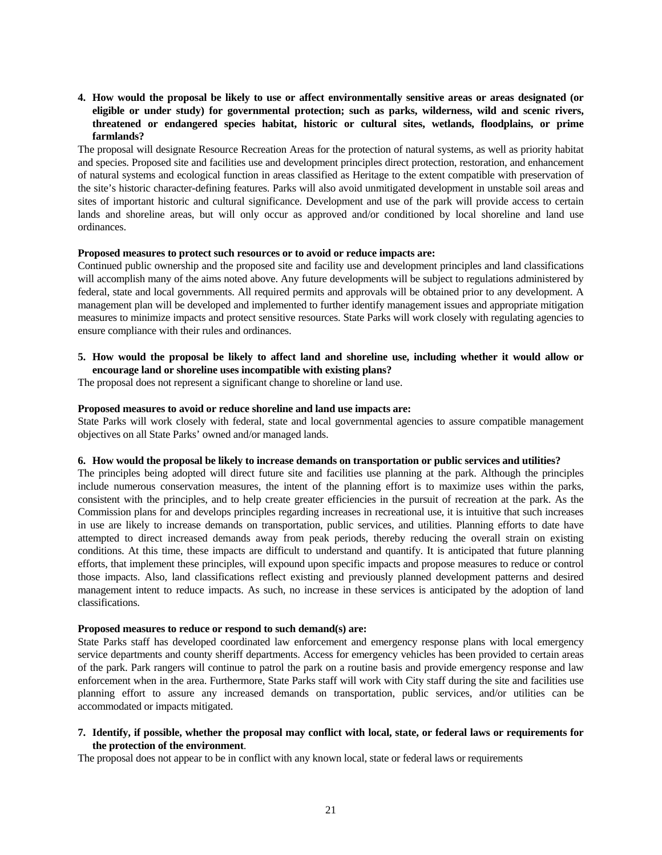## **4. How would the proposal be likely to use or affect environmentally sensitive areas or areas designated (or eligible or under study) for governmental protection; such as parks, wilderness, wild and scenic rivers, threatened or endangered species habitat, historic or cultural sites, wetlands, floodplains, or prime farmlands?**

The proposal will designate Resource Recreation Areas for the protection of natural systems, as well as priority habitat and species. Proposed site and facilities use and development principles direct protection, restoration, and enhancement of natural systems and ecological function in areas classified as Heritage to the extent compatible with preservation of the site's historic character-defining features. Parks will also avoid unmitigated development in unstable soil areas and sites of important historic and cultural significance. Development and use of the park will provide access to certain lands and shoreline areas, but will only occur as approved and/or conditioned by local shoreline and land use ordinances.

#### **Proposed measures to protect such resources or to avoid or reduce impacts are:**

Continued public ownership and the proposed site and facility use and development principles and land classifications will accomplish many of the aims noted above. Any future developments will be subject to regulations administered by federal, state and local governments. All required permits and approvals will be obtained prior to any development. A management plan will be developed and implemented to further identify management issues and appropriate mitigation measures to minimize impacts and protect sensitive resources. State Parks will work closely with regulating agencies to ensure compliance with their rules and ordinances.

#### **5. How would the proposal be likely to affect land and shoreline use, including whether it would allow or encourage land or shoreline uses incompatible with existing plans?**

The proposal does not represent a significant change to shoreline or land use.

#### **Proposed measures to avoid or reduce shoreline and land use impacts are:**

State Parks will work closely with federal, state and local governmental agencies to assure compatible management objectives on all State Parks' owned and/or managed lands.

#### **6. How would the proposal be likely to increase demands on transportation or public services and utilities?**

The principles being adopted will direct future site and facilities use planning at the park. Although the principles include numerous conservation measures, the intent of the planning effort is to maximize uses within the parks, consistent with the principles, and to help create greater efficiencies in the pursuit of recreation at the park. As the Commission plans for and develops principles regarding increases in recreational use, it is intuitive that such increases in use are likely to increase demands on transportation, public services, and utilities. Planning efforts to date have attempted to direct increased demands away from peak periods, thereby reducing the overall strain on existing conditions. At this time, these impacts are difficult to understand and quantify. It is anticipated that future planning efforts, that implement these principles, will expound upon specific impacts and propose measures to reduce or control those impacts. Also, land classifications reflect existing and previously planned development patterns and desired management intent to reduce impacts. As such, no increase in these services is anticipated by the adoption of land classifications.

#### **Proposed measures to reduce or respond to such demand(s) are:**

State Parks staff has developed coordinated law enforcement and emergency response plans with local emergency service departments and county sheriff departments. Access for emergency vehicles has been provided to certain areas of the park. Park rangers will continue to patrol the park on a routine basis and provide emergency response and law enforcement when in the area. Furthermore, State Parks staff will work with City staff during the site and facilities use planning effort to assure any increased demands on transportation, public services, and/or utilities can be accommodated or impacts mitigated.

## **7. Identify, if possible, whether the proposal may conflict with local, state, or federal laws or requirements for the protection of the environment**.

The proposal does not appear to be in conflict with any known local, state or federal laws or requirements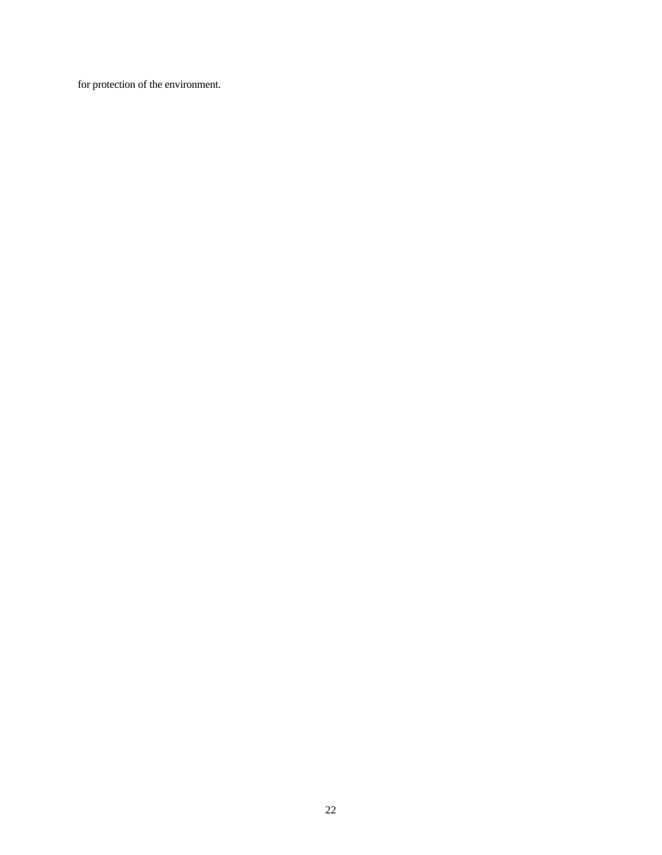for protection of the environment.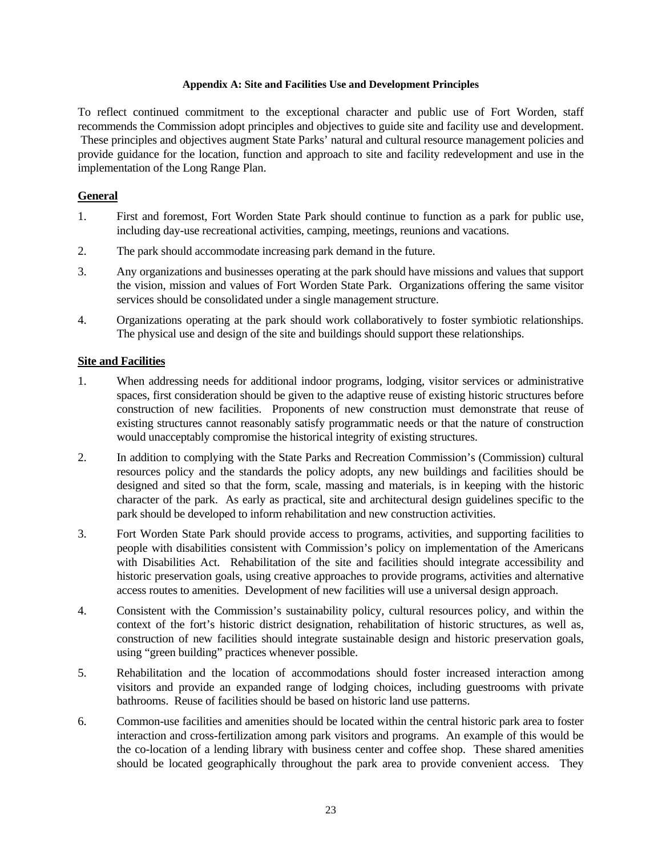## **Appendix A: Site and Facilities Use and Development Principles**

To reflect continued commitment to the exceptional character and public use of Fort Worden, staff recommends the Commission adopt principles and objectives to guide site and facility use and development. These principles and objectives augment State Parks' natural and cultural resource management policies and provide guidance for the location, function and approach to site and facility redevelopment and use in the implementation of the Long Range Plan.

# **General**

- 1. First and foremost, Fort Worden State Park should continue to function as a park for public use, including day-use recreational activities, camping, meetings, reunions and vacations.
- 2. The park should accommodate increasing park demand in the future.
- 3. Any organizations and businesses operating at the park should have missions and values that support the vision, mission and values of Fort Worden State Park. Organizations offering the same visitor services should be consolidated under a single management structure.
- 4. Organizations operating at the park should work collaboratively to foster symbiotic relationships. The physical use and design of the site and buildings should support these relationships.

# **Site and Facilities**

- 1. When addressing needs for additional indoor programs, lodging, visitor services or administrative spaces, first consideration should be given to the adaptive reuse of existing historic structures before construction of new facilities. Proponents of new construction must demonstrate that reuse of existing structures cannot reasonably satisfy programmatic needs or that the nature of construction would unacceptably compromise the historical integrity of existing structures.
- 2. In addition to complying with the State Parks and Recreation Commission's (Commission) cultural resources policy and the standards the policy adopts, any new buildings and facilities should be designed and sited so that the form, scale, massing and materials, is in keeping with the historic character of the park. As early as practical, site and architectural design guidelines specific to the park should be developed to inform rehabilitation and new construction activities.
- 3. Fort Worden State Park should provide access to programs, activities, and supporting facilities to people with disabilities consistent with Commission's policy on implementation of the Americans with Disabilities Act. Rehabilitation of the site and facilities should integrate accessibility and historic preservation goals, using creative approaches to provide programs, activities and alternative access routes to amenities. Development of new facilities will use a universal design approach.
- 4. Consistent with the Commission's sustainability policy, cultural resources policy, and within the context of the fort's historic district designation, rehabilitation of historic structures, as well as, construction of new facilities should integrate sustainable design and historic preservation goals, using "green building" practices whenever possible.
- 5. Rehabilitation and the location of accommodations should foster increased interaction among visitors and provide an expanded range of lodging choices, including guestrooms with private bathrooms. Reuse of facilities should be based on historic land use patterns.
- 6. Common-use facilities and amenities should be located within the central historic park area to foster interaction and cross-fertilization among park visitors and programs. An example of this would be the co-location of a lending library with business center and coffee shop. These shared amenities should be located geographically throughout the park area to provide convenient access. They